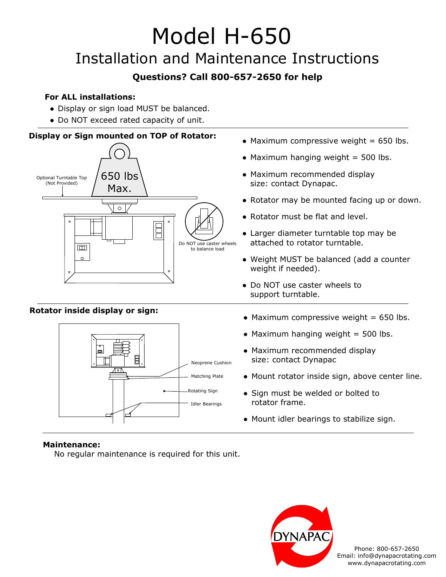# Model H-650

### Installation and Maintenance Instructions

### **Questions? Call 800-657-2650 for help**

### **For ALL installations:**

- Display or sign load MUST be balanced.
- Do NOT exceed rated capacity of unit.



Neoprene Cushion Matching Plate

Rotating Sign Idler Bearings

- $\bullet$  Maximum compressive weight = 650 lbs.
- $\bullet$  Maximum hanging weight = 500 lbs.
- Maximum recommended display size: contact Dynapac
- Mount rotator inside sign, above center line.
- Sign must be welded or bolted to rotator frame.
- Mount idler bearings to stabilize sign.



No regular maintenance is required for this unit.